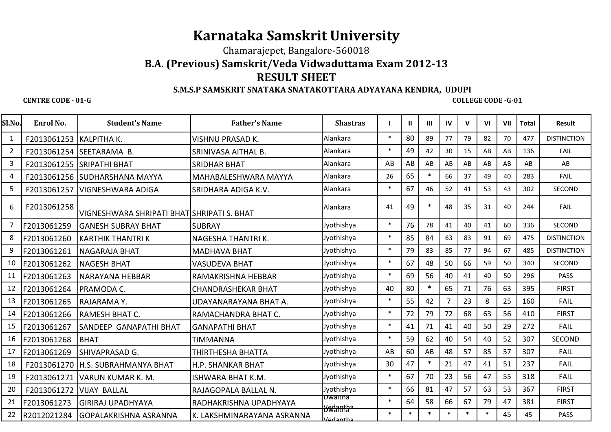# **Karnataka Samskrit University**

Chamarajepet, Bangalore-560018

## **B.A. (Previous) Samskrit/Veda Vidwaduttama Exam 2012-13**

### **RESULT SHEET**

#### **S.M.S.P SAMSKRIT SNATAKA SNATAKOTTARA ADYAYANA KENDRA, UDUPI**

#### **CENTRE CODE - 01-G**

 **COLLEGE CODE -G-01 COLLEGE CODE -G-01** 

| Sl.No.         | Enrol No.   | <b>Student's Name</b>                      | <b>Father's Name</b>        | <b>Shastras</b>                |        | ш      | $\mathbf{III}$ | <b>IV</b> | $\mathbf v$ | VI     | VII | <b>Total</b> | <b>Result</b>      |  |
|----------------|-------------|--------------------------------------------|-----------------------------|--------------------------------|--------|--------|----------------|-----------|-------------|--------|-----|--------------|--------------------|--|
| 1              | F2013061253 | <b>KALPITHAK.</b>                          | <b>VISHNU PRASAD K.</b>     | Alankara                       | $\ast$ | 80     | 89             | 77        | 79          | 82     | 70  | 477          | <b>DISTINCTION</b> |  |
| $\overline{2}$ | F2013061254 | SEETARAMA B.                               | SRINIVASA AITHAL B.         | Alankara                       | $\ast$ | 49     | 42             | 30        | 15          | AB     | AB  | 136          | <b>FAIL</b>        |  |
| 3              | F2013061255 | <b>SRIPATHI BHAT</b>                       | <b>SRIDHAR BHAT</b>         | Alankara                       | AB     | AB     | AB             | AB        | AB          | AB     | AB  | AB           | AB                 |  |
| 4              | F2013061256 | SUDHARSHANA MAYYA                          | <b>MAHABALESHWARA MAYYA</b> | Alankara                       | 26     | 65     | $\ast$         | 66        | 37          | 49     | 40  | 283          | <b>FAIL</b>        |  |
| 5              | F2013061257 | <b>VIGNESHWARA ADIGA</b>                   | SRIDHARA ADIGA K.V.         | Alankara                       | $\ast$ | 67     | 46             | 52        | 41          | 53     | 43  | 302          | SECOND             |  |
| 6              | F2013061258 | VIGNESHWARA SHRIPATI BHAT SHRIPATI S. BHAT |                             | Alankara                       | 41     | 49     | $\ast$         | 48        | 35          | 31     | 40  | 244          | <b>FAIL</b>        |  |
| 7              | F2013061259 | <b>GANESH SUBRAY BHAT</b>                  | <b>SUBRAY</b>               | Jyothishya                     | $\ast$ | 76     | 78             | 41        | 40          | 41     | 60  | 336          | SECOND             |  |
| 8              | F2013061260 | <b>KARTHIK THANTRI K</b>                   | NAGESHA THANTRIK.           | Jyothishya                     | $\ast$ | 85     | 84             | 63        | 83          | 91     | 69  | 475          | <b>DISTINCTION</b> |  |
| 9              | F2013061261 | NAGARAJA BHAT                              | <b>MADHAVA BHAT</b>         | Jyothishya                     | $\ast$ | 79     | 83             | 85        | 77          | 94     | 67  | 485          | <b>DISTINCTION</b> |  |
| 10             | F2013061262 | <b>NAGESH BHAT</b>                         | <b>VASUDEVA BHAT</b>        | Jyothishya                     | $\ast$ | 67     | 48             | 50        | 66          | 59     | 50  | 340          | SECOND             |  |
| 11             | F2013061263 | <b>NARAYANA HEBBAR</b>                     | RAMAKRISHNA HEBBAR          | Jyothishya                     | $\ast$ | 69     | 56             | 40        | 41          | 40     | 50  | 296          | <b>PASS</b>        |  |
| 12             | F2013061264 | PRAMODA C.                                 | <b>CHANDRASHEKAR BHAT</b>   | Jyothishya                     | 40     | 80     | $\ast$         | 65        | 71          | 76     | 63  | 395          | <b>FIRST</b>       |  |
| 13             | F2013061265 | RAJARAMA Y.                                | UDAYANARAYANA BHAT A.       | Jyothishya                     | $\ast$ | 55     | 42             |           | 23          | 8      | 25  | 160          | <b>FAIL</b>        |  |
| 14             | F2013061266 | RAMESH BHAT C.                             | RAMACHANDRA BHAT C.         | Jyothishya                     | $\ast$ | 72     | 79             | 72        | 68          | 63     | 56  | 410          | <b>FIRST</b>       |  |
| 15             | F2013061267 | SANDEEP GANAPATHI BHAT                     | <b>GANAPATHI BHAT</b>       | Jyothishya                     | $\ast$ | 41     | 71             | 41        | 40          | 50     | 29  | 272          | <b>FAIL</b>        |  |
| 16             | F2013061268 | <b>BHAT</b>                                | TIMMANNA                    | Jyothishya                     | $\ast$ | 59     | 62             | 40        | 54          | 40     | 52  | 307          | <b>SECOND</b>      |  |
| 17             | F2013061269 | <b>SHIVAPRASAD G.</b>                      | THIRTHESHA BHATTA           | Jyothishya                     | AB     | 60     | AB             | 48        | 57          | 85     | 57  | 307          | FAIL               |  |
| 18             | F2013061270 | H.S. SUBRAHMANYA BHAT                      | <b>H.P. SHANKAR BHAT</b>    | Jyothishya                     | 30     | 47     | $\ast$         | 21        | 47          | 41     | 51  | 237          | <b>FAIL</b>        |  |
| 19             | F2013061271 | VARUN KUMAR K. M.                          | <b>ISHWARA BHAT K.M.</b>    | Jyothishya                     | $\ast$ | 67     | 70             | 23        | 56          | 47     | 55  | 318          | <b>FAIL</b>        |  |
| 20             | F2013061272 | <b>VIJAY BALLAL</b>                        | RAJAGOPALA BALLAL N.        | Jyothishya                     | $\ast$ | 66     | 81             | 47        | 57          | 63     | 53  | 367          | <b>FIRST</b>       |  |
| 21             | F2013061273 | <b>GIRIRAJ UPADHYAYA</b>                   | RADHAKRISHNA UPADHYAYA      | bwaitha<br><del>Ywanntha</del> | $\ast$ | 64     | 58             | 66        | 67          | 79     | 47  | 381          | <b>FIRST</b>       |  |
| 22             | R2012021284 | lGOPALAKRISHNA ASRANNA                     | K. LAKSHMINARAYANA ASRANNA  | adantha ا                      | $\ast$ | $\ast$ | $\ast$         | $\ast$    | $\ast$      | $\ast$ | 45  | 45           | PASS               |  |